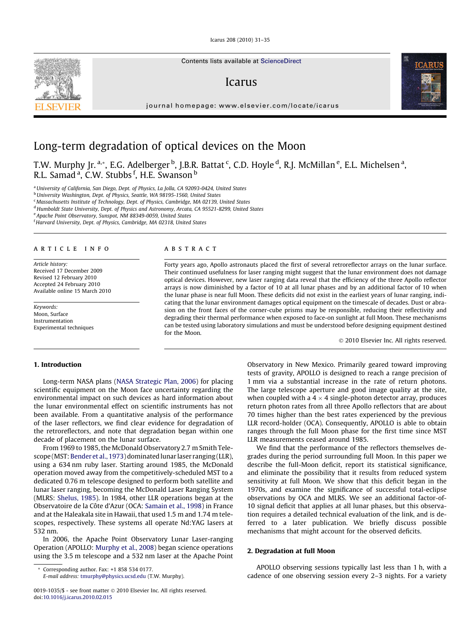Icarus 208 (2010) 31–35

Contents lists available at [ScienceDirect](http://www.sciencedirect.com/science/journal/00191035)

# Icarus

journal homepage: [www.elsevier.com/locate/icarus](http://www.elsevier.com/locate/icarus)



# Long-term degradation of optical devices on the Moon

T.W. Murphy Jr. <sup>a,</sup>\*, E.G. Adelberger <sup>b</sup>, J.B.R. Battat <sup>c</sup>, C.D. Hoyle <sup>d</sup>, R.J. McMillan <sup>e</sup>, E.L. Michelsen <sup>a</sup>, R.L. Samad<sup>a</sup>, C.W. Stubbs <sup>f</sup>, H.E. Swanson <sup>b</sup>

<sup>a</sup> University of California, San Diego, Dept. of Physics, La Jolla, CA 92093-0424, United States

b University Washington, Dept. of Physics, Seattle, WA 98195-1560, United States

<sup>c</sup> Massachusetts Institute of Technology, Dept. of Physics, Cambridge, MA 02139, United States

<sup>d</sup> Humboldt State University, Dept. of Physics and Astronomy, Arcata, CA 95521-8299, United States

<sup>e</sup> Apache Point Observatory, Sunspot, NM 88349-0059, United States

<sup>f</sup> Harvard University, Dept. of Physics, Cambridge, MA 02318, United States

#### article info

Article history: Received 17 December 2009 Revised 12 February 2010 Accepted 24 February 2010 Available online 15 March 2010

Keywords: Moon, Surface Instrumentation Experimental techniques

#### **ABSTRACT**

Forty years ago, Apollo astronauts placed the first of several retroreflector arrays on the lunar surface. Their continued usefulness for laser ranging might suggest that the lunar environment does not damage optical devices. However, new laser ranging data reveal that the efficiency of the three Apollo reflector arrays is now diminished by a factor of 10 at all lunar phases and by an additional factor of 10 when the lunar phase is near full Moon. These deficits did not exist in the earliest years of lunar ranging, indicating that the lunar environment damages optical equipment on the timescale of decades. Dust or abrasion on the front faces of the corner-cube prisms may be responsible, reducing their reflectivity and degrading their thermal performance when exposed to face-on sunlight at full Moon. These mechanisms can be tested using laboratory simulations and must be understood before designing equipment destined for the Moon.

- 2010 Elsevier Inc. All rights reserved.

#### 1. Introduction

Long-term NASA plans ([NASA Strategic Plan, 2006\)](#page-4-0) for placing scientific equipment on the Moon face uncertainty regarding the environmental impact on such devices as hard information about the lunar environmental effect on scientific instruments has not been available. From a quantitative analysis of the performance of the laser reflectors, we find clear evidence for degradation of the retroreflectors, and note that degradation began within one decade of placement on the lunar surface.

From 1969 to 1985, the McDonald Observatory 2.7 m Smith Tele-scope (MST: [Bender et al., 1973\)](#page-4-0) dominated lunar laser ranging (LLR), using a 634 nm ruby laser. Starting around 1985, the McDonald operation moved away from the competitively-scheduled MST to a dedicated 0.76 m telescope designed to perform both satellite and lunar laser ranging, becoming the McDonald Laser Ranging System (MLRS: [Shelus, 1985\)](#page-4-0). In 1984, other LLR operations began at the Observatoire de la Côte d'Azur (OCA: [Samain et al., 1998](#page-4-0)) in France and at the Haleakala site in Hawaii, that used 1.5 m and 1.74 m telescopes, respectively. These systems all operate Nd:YAG lasers at 532 nm.

In 2006, the Apache Point Observatory Lunar Laser-ranging Operation (APOLLO: [Murphy et al., 2008\)](#page-4-0) began science operations using the 3.5 m telescope and a 532 nm laser at the Apache Point

Corresponding author. Fax: +1 858 534 0177.

E-mail address: [tmurphy@physics.ucsd.edu](mailto:tmurphy@physics.ucsd.edu) (T.W. Murphy).

Observatory in New Mexico. Primarily geared toward improving tests of gravity, APOLLO is designed to reach a range precision of 1 mm via a substantial increase in the rate of return photons. The large telescope aperture and good image quality at the site, when coupled with a 4  $\times$  4 single-photon detector array, produces return photon rates from all three Apollo reflectors that are about 70 times higher than the best rates experienced by the previous LLR record-holder (OCA). Consequently, APOLLO is able to obtain ranges through the full Moon phase for the first time since MST LLR measurements ceased around 1985.

We find that the performance of the reflectors themselves degrades during the period surrounding full Moon. In this paper we describe the full-Moon deficit, report its statistical significance, and eliminate the possibility that it results from reduced system sensitivity at full Moon. We show that this deficit began in the 1970s, and examine the significance of successful total-eclipse observations by OCA and MLRS. We see an additional factor-of-10 signal deficit that applies at all lunar phases, but this observation requires a detailed technical evaluation of the link, and is deferred to a later publication. We briefly discuss possible mechanisms that might account for the observed deficits.

## 2. Degradation at full Moon

APOLLO observing sessions typically last less than 1 h, with a cadence of one observing session every 2–3 nights. For a variety



<sup>0019-1035/\$ -</sup> see front matter © 2010 Elsevier Inc. All rights reserved. doi[:10.1016/j.icarus.2010.02.015](http://dx.doi.org/10.1016/j.icarus.2010.02.015)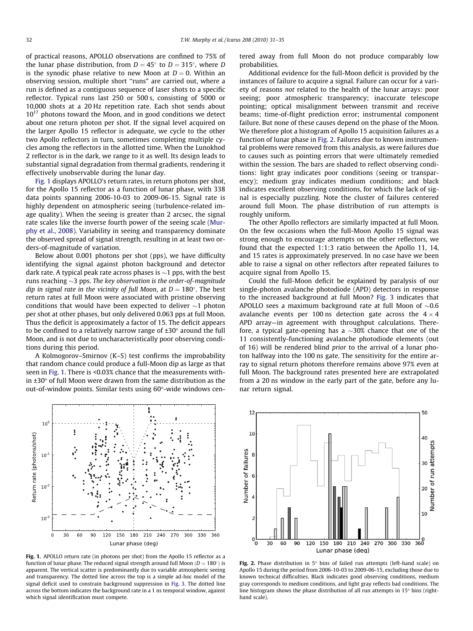<span id="page-1-0"></span>of practical reasons, APOLLO observations are confined to 75% of the lunar phase distribution, from  $D = 45^{\circ}$  to  $D = 315^{\circ}$ , where D is the synodic phase relative to new Moon at  $D = 0$ . Within an observing session, multiple short ''runs" are carried out, where a run is defined as a contiguous sequence of laser shots to a specific reflector. Typical runs last 250 or 500 s, consisting of 5000 or 10,000 shots at a 20 Hz repetition rate. Each shot sends about  $10^{17}$  photons toward the Moon, and in good conditions we detect about one return photon per shot. If the signal level acquired on the larger Apollo 15 reflector is adequate, we cycle to the other two Apollo reflectors in turn, sometimes completing multiple cycles among the reflectors in the allotted time. When the Lunokhod 2 reflector is in the dark, we range to it as well. Its design leads to substantial signal degradation from thermal gradients, rendering it effectively unobservable during the lunar day.

Fig. 1 displays APOLLO's return rates, in return photons per shot, for the Apollo 15 reflector as a function of lunar phase, with 338 data points spanning 2006-10-03 to 2009-06-15. Signal rate is highly dependent on atmospheric seeing (turbulence-related image quality). When the seeing is greater than 2 arcsec, the signal rate scales like the inverse fourth power of the seeing scale ([Mur](#page-4-0)[phy et al., 2008](#page-4-0)). Variability in seeing and transparency dominate the observed spread of signal strength, resulting in at least two orders-of-magnitude of variation.

Below about 0.001 photons per shot (pps), we have difficulty identifying the signal against photon background and detector dark rate. A typical peak rate across phases is  $\sim$  1 pps, with the best runs reaching  $\sim$ 3 pps. The key observation is the order-of-magnitude dip in signal rate in the vicinity of full Moon, at  $D = 180^\circ$ . The best return rates at full Moon were associated with pristine observing conditions that would have been expected to deliver  $\sim$ 1 photon per shot at other phases, but only delivered 0.063 pps at full Moon. Thus the deficit is approximately a factor of 15. The deficit appears to be confined to a relatively narrow range of  $\pm 30^\circ$  around the full Moon, and is not due to uncharacteristically poor observing conditions during this period.

A Kolmogorov–Smirnov (K–S) test confirms the improbability that random chance could produce a full-Moon dip as large as that seen in Fig. 1. There is <0.03% chance that the measurements within  $\pm 30^\circ$  of full Moon were drawn from the same distribution as the out-of-window points. Similar tests using 60°-wide windows cen-



Fig. 1. APOLLO return rate (in photons per shot) from the Apollo 15 reflector as a function of lunar phase. The reduced signal strength around full Moon  $(D = 180^\circ)$  is apparent. The vertical scatter is predominantly due to variable atmospheric seeing and transparency. The dotted line across the top is a simple ad-hoc model of the signal deficit used to constrain background suppression in [Fig. 3.](#page-2-0) The dotted line across the bottom indicates the background rate in a 1 ns temporal window, against which signal identification must compete.

tered away from full Moon do not produce comparably low probabilities.

Additional evidence for the full-Moon deficit is provided by the instances of failure to acquire a signal. Failure can occur for a variety of reasons not related to the health of the lunar arrays: poor seeing; poor atmospheric transparency; inaccurate telescope pointing; optical misalignment between transmit and receive beams; time-of-flight prediction error; instrumental component failure. But none of these causes depend on the phase of the Moon. We therefore plot a histogram of Apollo 15 acquisition failures as a function of lunar phase in Fig. 2. Failures due to known instrumental problems were removed from this analysis, as were failures due to causes such as pointing errors that were ultimately remedied within the session. The bars are shaded to reflect observing conditions: light gray indicates poor conditions (seeing or transparency); medium gray indicates medium conditions; and black indicates excellent observing conditions, for which the lack of signal is especially puzzling. Note the cluster of failures centered around full Moon. The phase distribution of run attempts is roughly uniform.

The other Apollo reflectors are similarly impacted at full Moon. On the few occasions when the full-Moon Apollo 15 signal was strong enough to encourage attempts on the other reflectors, we found that the expected 1:1:3 ratio between the Apollo 11, 14, and 15 rates is approximately preserved. In no case have we been able to raise a signal on other reflectors after repeated failures to acquire signal from Apollo 15.

Could the full-Moon deficit be explained by paralysis of our single-photon avalanche photodiode (APD) detectors in response to the increased background at full Moon? [Fig. 3](#page-2-0) indicates that APOLLO sees a maximum background rate at full Moon of  $\sim 0.6$ avalanche events per 100 ns detection gate across the  $4 \times 4$ APD array—in agreement with throughput calculations. Therefore, a typical gate-opening has a  $\sim$ 30% chance that one of the 11 consistently-functioning avalanche photodiode elements (out of 16) will be rendered blind prior to the arrival of a lunar photon halfway into the 100 ns gate. The sensitivity for the entire array to signal return photons therefore remains above 97% even at full Moon. The background rates presented here are extrapolated from a 20 ns window in the early part of the gate, before any lunar return signal.



Fig. 2. Phase distribution in  $5^{\circ}$  bins of failed run attempts (left-hand scale) on Apollo 15 during the period from 2006-10-03 to 2009-06-15, excluding those due to known technical difficulties. Black indicates good observing conditions, medium gray corresponds to medium conditions, and light gray reflects bad conditions. The line histogram shows the phase distribution of all run attempts in  $15^{\circ}$  bins (righthand scale).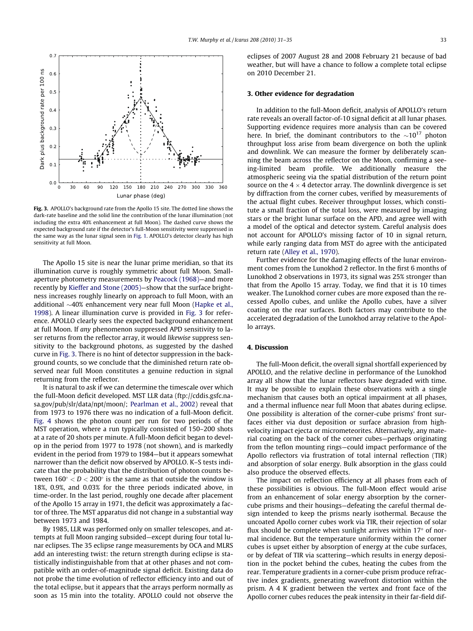<span id="page-2-0"></span>

Fig. 3. APOLLO's background rate from the Apollo 15 site. The dotted line shows the dark-rate baseline and the solid line the contribution of the lunar illumination (not including the extra 40% enhancement at full Moon). The dashed curve shows the expected background rate if the detector's full-Moon sensitivity were suppressed in the same way as the lunar signal seen in [Fig. 1.](#page-1-0) APOLLO's detector clearly has high sensitivity at full Moon.

The Apollo 15 site is near the lunar prime meridian, so that its illumination curve is roughly symmetric about full Moon. Smallaperture photometry measurements by [Peacock \(1968\)—](#page-4-0)and more recently by [Kieffer and Stone \(2005\)—](#page-4-0)show that the surface brightness increases roughly linearly on approach to full Moon, with an additional  $\sim$ 40% enhancement very near full Moon [\(Hapke et al.,](#page-4-0) [1998\)](#page-4-0). A linear illumination curve is provided in Fig. 3 for reference. APOLLO clearly sees the expected background enhancement at full Moon. If any phenomenon suppressed APD sensitivity to laser returns from the reflector array, it would likewise suppress sensitivity to the background photons, as suggested by the dashed curve in Fig. 3. There is no hint of detector suppression in the background counts, so we conclude that the diminished return rate observed near full Moon constitutes a genuine reduction in signal returning from the reflector.

It is natural to ask if we can determine the timescale over which the full-Moon deficit developed. MST LLR data (ftp://cddis.gsfc.nasa.gov/pub/slr/data/npt/moon/; [Pearlman et al., 2002\)](#page-4-0) reveal that from 1973 to 1976 there was no indication of a full-Moon deficit. [Fig. 4](#page-3-0) shows the photon count per run for two periods of the MST operation, where a run typically consisted of 150–200 shots at a rate of 20 shots per minute. A full-Moon deficit began to develop in the period from 1977 to 1978 (not shown), and is markedly evident in the period from 1979 to 1984—but it appears somewhat narrower than the deficit now observed by APOLLO. K–S tests indicate that the probability that the distribution of photon counts between  $160^{\circ} < D < 200^{\circ}$  is the same as that outside the window is 18%, 0.9%, and 0.03% for the three periods indicated above, in time-order. In the last period, roughly one decade after placement of the Apollo 15 array in 1971, the deficit was approximately a factor of three. The MST apparatus did not change in a substantial way between 1973 and 1984.

By 1985, LLR was performed only on smaller telescopes, and attempts at full Moon ranging subsided—except during four total lunar eclipses. The 35 eclipse range measurements by OCA and MLRS add an interesting twist: the return strength during eclipse is statistically indistinguishable from that at other phases and not compatible with an order-of-magnitude signal deficit. Existing data do not probe the time evolution of reflector efficiency into and out of the total eclipse, but it appears that the arrays perform normally as soon as 15 min into the totality. APOLLO could not observe the eclipses of 2007 August 28 and 2008 February 21 because of bad weather, but will have a chance to follow a complete total eclipse on 2010 December 21.

### 3. Other evidence for degradation

In addition to the full-Moon deficit, analysis of APOLLO's return rate reveals an overall factor-of-10 signal deficit at all lunar phases. Supporting evidence requires more analysis than can be covered here. In brief, the dominant contributors to the  $\sim 10^{17}$  photon throughput loss arise from beam divergence on both the uplink and downlink. We can measure the former by deliberately scanning the beam across the reflector on the Moon, confirming a seeing-limited beam profile. We additionally measure the atmospheric seeing via the spatial distribution of the return point source on the 4  $\times$  4 detector array. The downlink divergence is set by diffraction from the corner cubes, verified by measurements of the actual flight cubes. Receiver throughput losses, which constitute a small fraction of the total loss, were measured by imaging stars or the bright lunar surface on the APD, and agree well with a model of the optical and detector system. Careful analysis does not account for APOLLO's missing factor of 10 in signal return, while early ranging data from MST do agree with the anticipated return rate ([Alley et al., 1970](#page-3-0)).

Further evidence for the damaging effects of the lunar environment comes from the Lunokhod 2 reflector. In the first 6 months of Lunokhod 2 observations in 1973, its signal was 25% stronger than that from the Apollo 15 array. Today, we find that it is 10 times weaker. The Lunokhod corner cubes are more exposed than the recessed Apollo cubes, and unlike the Apollo cubes, have a silver coating on the rear surfaces. Both factors may contribute to the accelerated degradation of the Lunokhod array relative to the Apollo arrays.

# 4. Discussion

The full-Moon deficit, the overall signal shortfall experienced by APOLLO, and the relative decline in performance of the Lunokhod array all show that the lunar reflectors have degraded with time. It may be possible to explain these observations with a single mechanism that causes both an optical impairment at all phases, and a thermal influence near full Moon that abates during eclipse. One possibility is alteration of the corner-cube prisms' front surfaces either via dust deposition or surface abrasion from highvelocity impact ejecta or micrometeorites. Alternatively, any material coating on the back of the corner cubes—perhaps originating from the teflon mounting rings—could impact performance of the Apollo reflectors via frustration of total internal reflection (TIR) and absorption of solar energy. Bulk absorption in the glass could also produce the observed effects.

The impact on reflection efficiency at all phases from each of these possibilities is obvious. The full-Moon effect would arise from an enhancement of solar energy absorption by the cornercube prisms and their housings—defeating the careful thermal design intended to keep the prisms nearly isothermal. Because the uncoated Apollo corner cubes work via TIR, their rejection of solar flux should be complete when sunlight arrives within  $17^{\circ}$  of normal incidence. But the temperature uniformity within the corner cubes is upset either by absorption of energy at the cube surfaces, or by defeat of TIR via scattering—which results in energy deposition in the pocket behind the cubes, heating the cubes from the rear. Temperature gradients in a corner-cube prism produce refractive index gradients, generating wavefront distortion within the prism. A 4 K gradient between the vertex and front face of the Apollo corner cubes reduces the peak intensity in their far-field dif-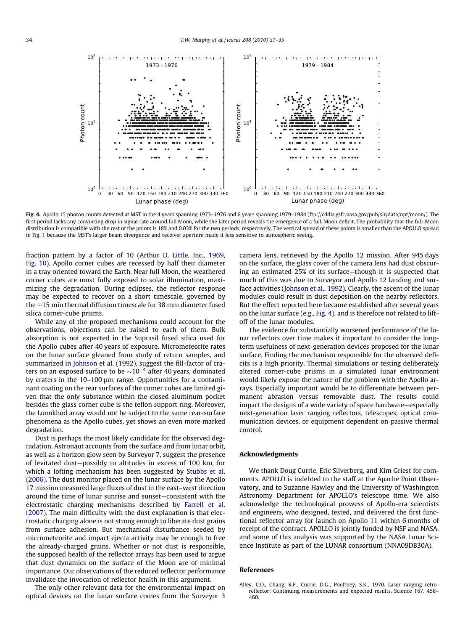$10<sup>7</sup>$ 

 $10<sup>1</sup>$ 

Photon count Photon count  $10<sup>′</sup>$  $10$  $\overline{0}$ 30 60 90 120 150 180 210 240 270 300 330 360  $\overline{0}$  $30$ 60 90 120 150 180 210 240 270 300 330 360 Lunar phase (deg) Lunar phase (deg)

Fig. 4. Apollo 15 photon counts detected at MST in the 4 years spanning 1973-1976 and 6 years spanning 1979-1984 (ftp://cddis.gsfc.nasa.gov/pub/slr/data/npt/moon/). The first period lacks any convincing drop in signal rate around full Moon, while the later period reveals the emergence of a full-Moon deficit. The probability that the full-Moon distribution is compatible with the rest of the points is 18% and 0.03% for the two periods, respectively. The vertical spread of these points is smaller than the APOLLO spread in [Fig. 1](#page-1-0) because the MST's larger beam divergence and receiver aperture made it less sensitive to atmospheric seeing.

fraction pattern by a factor of 10 ([Arthur D. Little, Inc., 1969,](#page-4-0) [Fig. 10\)](#page-4-0). Apollo corner cubes are recessed by half their diameter in a tray oriented toward the Earth. Near full Moon, the weathered corner cubes are most fully exposed to solar illumination, maximizing the degradation. During eclipses, the reflector response may be expected to recover on a short timescale, governed by the  $\sim$ 15 min thermal diffusion timescale for 38 mm diameter fused silica corner-cube prisms.

While any of the proposed mechanisms could account for the observations, objections can be raised to each of them. Bulk absorption is not expected in the Suprasil fused silica used for the Apollo cubes after 40 years of exposure. Micrometeorite rates on the lunar surface gleaned from study of return samples, and summarized in [Johnson et al. \(1992\)](#page-4-0), suggest the fill-factor of craters on an exposed surface to be  $\sim 10^{-4}$  after 40 years, dominated by craters in the  $10-100 \mu m$  range. Opportunities for a contaminant coating on the rear surfaces of the corner cubes are limited given that the only substance within the closed aluminum pocket besides the glass corner cube is the teflon support ring. Moreover, the Lunokhod array would not be subject to the same rear-surface phenomena as the Apollo cubes, yet shows an even more marked degradation.

Dust is perhaps the most likely candidate for the observed degradation. Astronaut accounts from the surface and from lunar orbit, as well as a horizon glow seen by Surveyor 7, suggest the presence of levitated dust—possibly to altitudes in excess of 100 km, for which a lofting mechanism has been suggested by [Stubbs et al.](#page-4-0) [\(2006\).](#page-4-0) The dust monitor placed on the lunar surface by the Apollo 17 mission measured large fluxes of dust in the east–west direction around the time of lunar sunrise and sunset—consistent with the electrostatic charging mechanisms described by [Farrell et al.](#page-4-0) [\(2007\).](#page-4-0) The main difficulty with the dust explanation is that electrostatic charging alone is not strong enough to liberate dust grains from surface adhesion. But mechanical disturbance seeded by micrometeorite and impact ejecta activity may be enough to free the already-charged grains. Whether or not dust is responsible, the supposed health of the reflector arrays has been used to argue that dust dynamics on the surface of the Moon are of minimal importance. Our observations of the reduced reflector performance invalidate the invocation of reflector health in this argument.

The only other relevant data for the environmental impact on optical devices on the lunar surface comes from the Surveyor 3

camera lens, retrieved by the Apollo 12 mission. After 945 days on the surface, the glass cover of the camera lens had dust obscuring an estimated 25% of its surface—though it is suspected that much of this was due to Surveyor and Apollo 12 landing and surface activities [\(Johnson et al., 1992](#page-4-0)). Clearly, the ascent of the lunar modules could result in dust deposition on the nearby reflectors. But the effect reported here became established after several years on the lunar surface (e.g., Fig. 4), and is therefore not related to liftoff of the lunar modules.

1979 - 1984

The evidence for substantially worsened performance of the lunar reflectors over time makes it important to consider the longterm usefulness of next-generation devices proposed for the lunar surface. Finding the mechanism responsible for the observed deficits is a high priority. Thermal simulations or testing deliberately altered corner-cube prisms in a simulated lunar environment would likely expose the nature of the problem with the Apollo arrays. Especially important would be to differentiate between permanent abrasion versus removable dust. The results could impact the designs of a wide variety of space hardware—especially next-generation laser ranging reflectors, telescopes, optical communication devices, or equipment dependent on passive thermal control.

### Acknowledgments

We thank Doug Currie, Eric Silverberg, and Kim Griest for comments. APOLLO is indebted to the staff at the Apache Point Observatory, and to Suzanne Hawley and the University of Washington Astronomy Department for APOLLO's telescope time. We also acknowledge the technological prowess of Apollo-era scientists and engineers, who designed, tested, and delivered the first functional reflector array for launch on Apollo 11 within 6 months of receipt of the contract. APOLLO is jointly funded by NSF and NASA, and some of this analysis was supported by the NASA Lunar Science Institute as part of the LUNAR consortium (NNA09DB30A).

### References

Alley, C.O., Chang, R.F., Currie, D.G., Poultney, S.K., 1970. Laser ranging retroreflector: Continuing measurements and expected results. Science 167, 458– 460.

<span id="page-3-0"></span>

 $10<sup>2</sup>$ 

 $10$ 

1973 - 1976